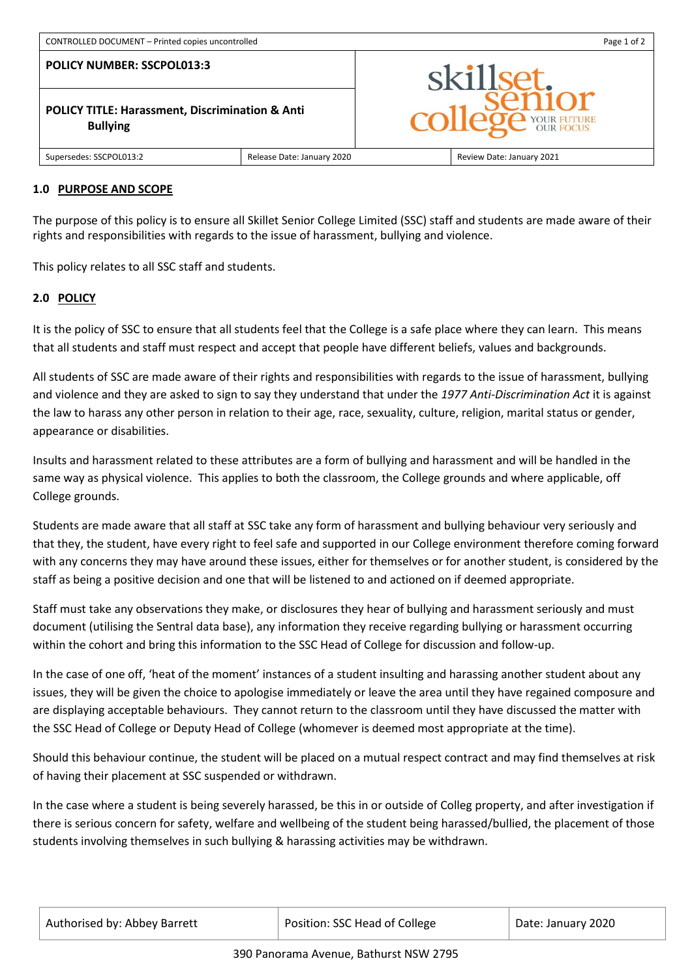**POLICY NUMBER: SSCPOL013:3**

**POLICY TITLE: Harassment, Discrimination & Anti Bullying**



Supersedes: SSCPOL013:2 Release Date: January 2020 Review Date: January 2021

### **1.0 PURPOSE AND SCOPE**

The purpose of this policy is to ensure all Skillet Senior College Limited (SSC) staff and students are made aware of their rights and responsibilities with regards to the issue of harassment, bullying and violence.

This policy relates to all SSC staff and students.

## **2.0 POLICY**

It is the policy of SSC to ensure that all students feel that the College is a safe place where they can learn. This means that all students and staff must respect and accept that people have different beliefs, values and backgrounds.

All students of SSC are made aware of their rights and responsibilities with regards to the issue of harassment, bullying and violence and they are asked to sign to say they understand that under the *1977 Anti-Discrimination Act* it is against the law to harass any other person in relation to their age, race, sexuality, culture, religion, marital status or gender, appearance or disabilities.

Insults and harassment related to these attributes are a form of bullying and harassment and will be handled in the same way as physical violence. This applies to both the classroom, the College grounds and where applicable, off College grounds.

Students are made aware that all staff at SSC take any form of harassment and bullying behaviour very seriously and that they, the student, have every right to feel safe and supported in our College environment therefore coming forward with any concerns they may have around these issues, either for themselves or for another student, is considered by the staff as being a positive decision and one that will be listened to and actioned on if deemed appropriate.

Staff must take any observations they make, or disclosures they hear of bullying and harassment seriously and must document (utilising the Sentral data base), any information they receive regarding bullying or harassment occurring within the cohort and bring this information to the SSC Head of College for discussion and follow-up.

In the case of one off, 'heat of the moment' instances of a student insulting and harassing another student about any issues, they will be given the choice to apologise immediately or leave the area until they have regained composure and are displaying acceptable behaviours. They cannot return to the classroom until they have discussed the matter with the SSC Head of College or Deputy Head of College (whomever is deemed most appropriate at the time).

Should this behaviour continue, the student will be placed on a mutual respect contract and may find themselves at risk of having their placement at SSC suspended or withdrawn.

In the case where a student is being severely harassed, be this in or outside of Colleg property, and after investigation if there is serious concern for safety, welfare and wellbeing of the student being harassed/bullied, the placement of those students involving themselves in such bullying & harassing activities may be withdrawn.

| Authorised by: Abbey Barrett | Position: SSC Head of College | Date: January 2020 |
|------------------------------|-------------------------------|--------------------|
|------------------------------|-------------------------------|--------------------|